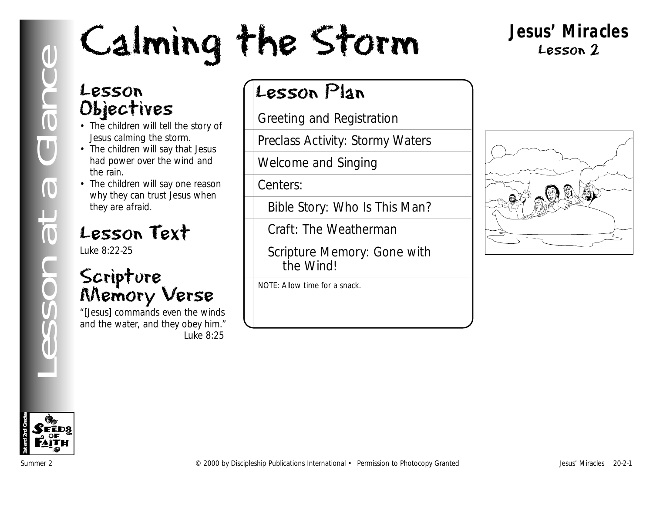# **LESSON CHANNER CONTROLL AND SECTION CONTROLL AND STATE CONTROLL AND STATE CONTROLL AND STATE CONTROLL AND STATE CONTROLL AND STATE (SCRIPT OF STATE THE WEATHER CONTROLL AND STATE CONTROLL AND STATE (SCRIPT OF STATE THE WE**

#### **Jesus' Miracles** Lesson 2

#### Lesson Objectives

- The children will tell the story of Jesus calming the storm.
- The children will say that Jesus had power over the wind and the rain.
- The children will say one reason why they can trust Jesus when they are afraid.

#### Lesson Text

Luke 8:22-25

#### Scripture Memory Verse

"[Jesus] commands even the winds and the water, and they obey him." *Luke 8:25*

#### Lesson Plan

Greeting and Registration

Preclass Activity: Stormy Waters

Welcome and Singing

Centers:

Bible Story: Who Is This Man?

Craft: The Weatherman

Scripture Memory: Gone with the Wind!

NOTE: Allow time for a snack.



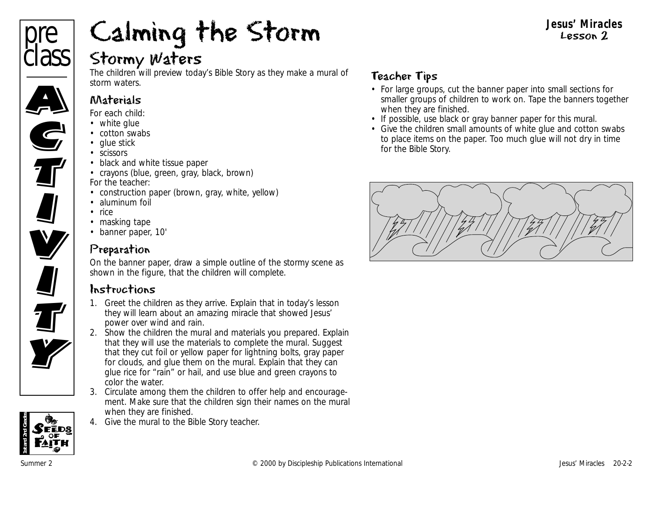

#### Stormy Waters

The children will preview today's Bible Story as they make a mural of storm waters.

#### Materials

*For each child:*

- white glue
- cotton swabs
- glue stick
- scissors
- black and white tissue paper
- crayons (blue, green, gray, black, brown) *For the teacher:*
- construction paper (brown, gray, white, yellow)
- aluminum foil
- rice
- masking tape
- banner paper, 10'

#### Preparation

On the banner paper, draw a simple outline of the stormy scene as shown in the figure, that the children will complete.

#### Instructions

- 1. Greet the children as they arrive. Explain that in today's lesson they will learn about an amazing miracle that showed Jesus' power over wind and rain.
- 2. Show the children the mural and materials you prepared. Explain that they will use the materials to complete the mural. Suggest that they cut foil or yellow paper for lightning bolts, gray paper for clouds, and glue them on the mural. Explain that they can glue rice for "rain" or hail, and use blue and green crayons to color the water.
- 3. Circulate among them the children to offer help and encouragement. Make sure that the children sign their names on the mural when they are finished.
- 4. Give the mural to the Bible Story teacher.

#### Teacher Tips

• For large groups, cut the banner paper into small sections for smaller groups of children to work on. Tape the banners together when they are finished.

**Jesus' Miracles** Lesson 2

- If possible, use black or gray banner paper for this mural.
- Give the children small amounts of white glue and cotton swabs to place items on the paper. Too much glue will not dry in time for the Bible Story.



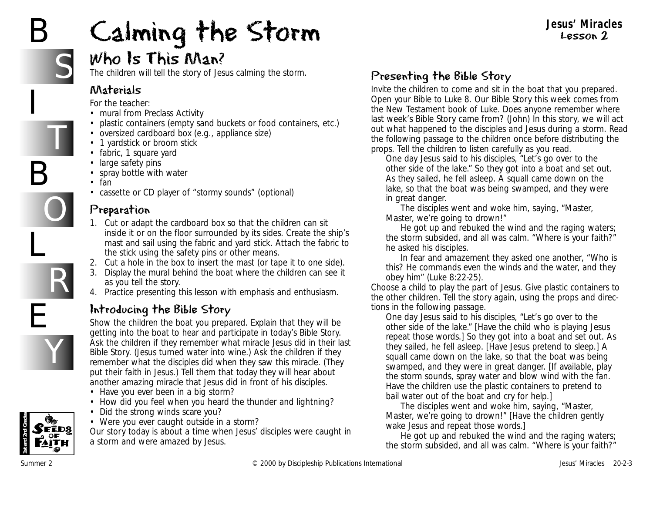# B

# Calming the Storm

#### **Jesus' Miracles** Lesson 2

#### Who Is This Man?

The children will tell the story of Jesus calming the storm.

#### Materials

*For the teacher:*

- mural from Preclass Activity
- plastic containers (empty sand buckets or food containers, etc.)
- oversized cardboard box (e.g., appliance size)
- 1 yardstick or broom stick
- fabric, 1 square yard
- large safety pins
- spray bottle with water
- fan
- cassette or CD player of "stormy sounds" (optional)

#### Preparation

- 1. Cut or adapt the cardboard box so that the children can sit inside it or on the floor surrounded by its sides. Create the ship's mast and sail using the fabric and yard stick. Attach the fabric to the stick using the safety pins or other means.
- 2. Cut a hole in the box to insert the mast (or tape it to one side).
- 3. Display the mural behind the boat where the children can see it as you tell the story.
- 4. Practice presenting this lesson with emphasis and enthusiasm.

#### Introducing the Bible Story

Show the children the boat you prepared. Explain that they will be getting into the boat to hear and participate in today's Bible Story. Ask the children if they remember what miracle Jesus did in their last Bible Story. (Jesus turned water into wine.) Ask the children if they remember what the disciples did when they saw this miracle. (They put their faith in Jesus.) Tell them that today they will hear about another amazing miracle that Jesus did in front of his disciples.

- *Have you ever been in a big storm?*
- *How did you feel when you heard the thunder and lightning?*
- *Did the strong winds scare you?*
- *Were you ever caught outside in a storm?*

*Our story today is about a time when Jesus' disciples were caught in a storm and were amazed by Jesus.*

#### Presenting the Bible Story

Invite the children to come and sit in the boat that you prepared. Open your Bible to Luke 8. *Our Bible Story this week comes from the New Testament book of Luke. Does anyone remember where last week's Bible Story came from?* (John) *In this story, we will act out what happened to the disciples and Jesus during a storm.* Read the following passage to the children once before distributing the props. Tell the children to listen carefully as you read.

*One day Jesus said to his disciples, "Let's go over to the other side of the lake." So they got into a boat and set out. As they sailed, he fell asleep. A squall came down on the lake, so that the boat was being swamped, and they were in great danger.* 

*The disciples went and woke him, saying, "Master, Master, we're going to drown!"*

*He got up and rebuked the wind and the raging waters; the storm subsided, and all was calm. "Where is your faith?" he asked his disciples.*

*In fear and amazement they asked one another, "Who is this? He commands even the winds and the water, and they obey him"* (Luke 8:22-25)*.*

Choose a child to play the part of Jesus. Give plastic containers to the other children. Tell the story again, using the props and directions in the following passage.

*One day Jesus said to his disciples, "Let's go over to the other side of the lake."* [Have the child who is playing Jesus repeat those words.] *So they got into a boat and set out. As they sailed, he fell asleep.* [Have Jesus pretend to sleep.] *A squall came down on the lake, so that the boat was being swamped, and they were in great danger.* [If available, play the storm sounds, spray water and blow wind with the fan. Have the children use the plastic containers to pretend to bail water out of the boat and cry for help.]

*The disciples went and woke him, saying, "Master, Master, we're going to drown!"* [Have the children gently wake Jesus and repeat those words.]

*He got up and rebuked the wind and the raging waters; the storm subsided, and all was calm. "Where is your faith?"*







Y



B

S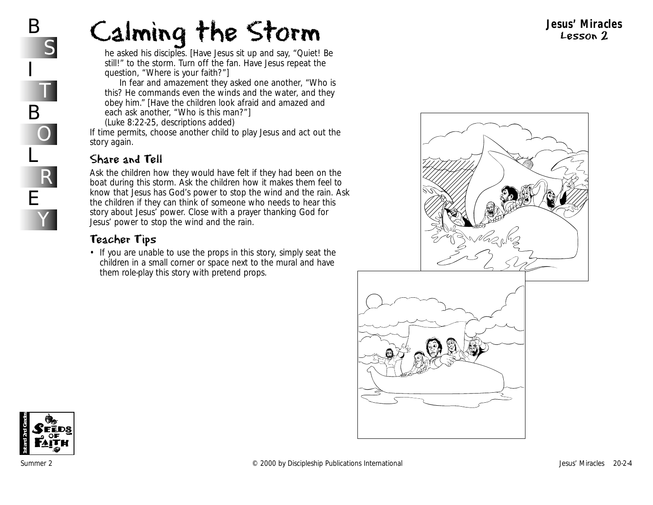*he asked his disciples.* [Have Jesus sit up and say, "Quiet! Be still!" to the storm. Turn off the fan. Have Jesus repeat the question, "Where is your faith?"]

*In fear and amazement they asked one another, "Who is this? He commands even the winds and the water, and they obey him."* [Have the children look afraid and amazed and each ask another, "Who is this man?"]

(Luke 8:22-25, descriptions added)

If time permits, choose another child to play Jesus and act out the story again.

#### Share and Tell

Ask the children how they would have felt if they had been on the boat during this storm. Ask the children how it makes them feel to know that Jesus has God's power to stop the wind and the rain. Ask the children if they can think of someone who needs to hear this story about Jesus' power. Close with a prayer thanking God for Jesus' power to stop the wind and the rain.

#### Teacher Tips

• If you are unable to use the props in this story, simply seat the children in a small corner or space next to the mural and have them role-play this story with pretend props.





#### **Jesus' Miracles** Lesson 2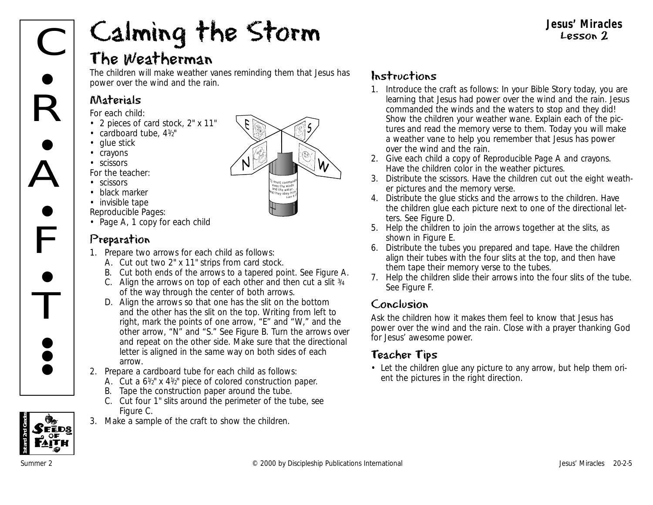#### The Weatherman

The children will make weather vanes reminding them that Jesus has power over the wind and the rain.

#### Materials

*For each child:*

- 2 pieces of card stock, 2" x 11"
- cardboard tube,  $4\frac{1}{2}$ "
- glue stick
- crayons
- scissors
- *For the teacher:*
- scissors
- black marker
- invisible tape
- *Reproducible Pages:*
- Page A, 1 copy for each child

#### Preparation

- 1. Prepare two arrows for each child as follows:
	- A. Cut out two 2" x 11" strips from card stock.
	- B. Cut both ends of the arrows to a tapered point. See Figure A.
	- C. Align the arrows on top of each other and then cut a slit  $\frac{3}{4}$ of the way through the center of both arrows.
	- D. Align the arrows so that one has the slit on the bottom and the other has the slit on the top. Writing from left to right, mark the points of one arrow, "E" and "W," and the other arrow, "N" and "S." See Figure B. Turn the arrows over and repeat on the other side. Make sure that the directional letter is aligned in the same way on both sides of each arrow.
- 2. Prepare a cardboard tube for each child as follows:
	- A. Cut a  $6\frac{1}{2}$ " x  $4\frac{1}{2}$ " piece of colored construction paper.
	- B. Tape the construction paper around the tube.
	- C. Cut four 1" slits around the perimeter of the tube, see Figure C.
- 3. Make a sample of the craft to show the children.



#### Instructions

- 1. Introduce the craft as follows: *In your Bible Story today, you are learning that Jesus had power over the wind and the rain. Jesus commanded the winds and the waters to stop and they did!* Show the children your weather wane. Explain each of the pictures and read the memory verse to them. *Today you will make a weather vane to help you remember that Jesus has power over the wind and the rain.*
- 2. Give each child a copy of Reproducible Page A and crayons. Have the children color in the weather pictures.
- 3. Distribute the scissors. Have the children cut out the eight weather pictures and the memory verse.
- 4. Distribute the glue sticks and the arrows to the children. Have the children glue each picture next to one of the directional letters. See Figure D.
- 5. Help the children to join the arrows together at the slits, as shown in Figure E.
- 6. Distribute the tubes you prepared and tape. Have the children align their tubes with the four slits at the top, and then have them tape their memory verse to the tubes.
- 7. Help the children slide their arrows into the four slits of the tube. See Figure F.

#### Conclusion

Ask the children how it makes them feel to know that Jesus has power over the wind and the rain. Close with a prayer thanking God for Jesus' awesome power.

#### Teacher Tips

• Let the children glue any picture to any arrow, but help them orient the pictures in the right direction.

FĒDS

**1st and 2nd Grades**

**Jesus' Miracles** Lesson 2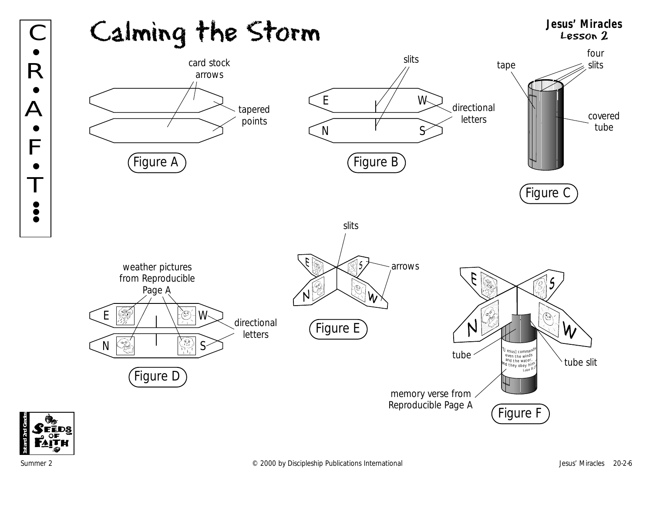



R

•

•

 $\overline{\Delta}$ 

 $\bullet$ 

F

 $\bullet$ 

 $\mathbf{I}$ 

•<br>• **; •**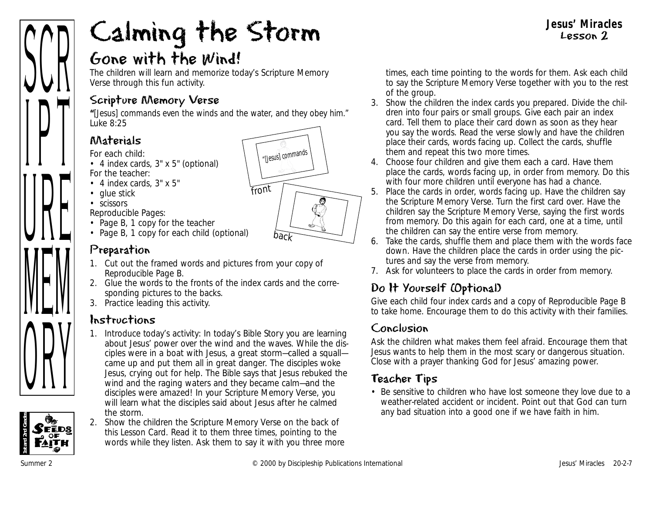#### Gone with the Wind!

The children will learn and memorize today's Scripture Memory Verse through this fun activity.

#### Scripture Memory Verse

**"**[Jesus] commands even the winds and the water, and they obey him." *Luke 8:25*

#### Materials

- *For each child:*
- 4 index cards, 3" x 5" (optional) *For the teacher:*
- 4 index cards, 3" x 5"
- glue stick
- scissors

*Reproducible Pages:*

- Page B, 1 copy for the teacher
- Page B, 1 copy for each child (optional)

#### Preparation

- 1. Cut out the framed words and pictures from your copy of Reproducible Page B.
- 2. Glue the words to the fronts of the index cards and the corresponding pictures to the backs.
- 3. Practice leading this activity.

#### Instructions

- 1. Introduce today's activity: *In today's Bible Story you are learning about Jesus' power over the wind and the waves. While the disciples were in a boat with Jesus, a great storm—called a squall came up and put them all in great danger. The disciples woke Jesus, crying out for help. The Bible says that Jesus rebuked the wind and the raging waters and they became calm—and the disciples were amazed! In your Scripture Memory Verse, you will learn what the disciples said about Jesus after he calmed the storm.*
- 2. Show the children the Scripture Memory Verse on the back of this Lesson Card. Read it to them three times, pointing to the words while they listen. Ask them to say it with you three more

times, each time pointing to the words for them. Ask each child to say the Scripture Memory Verse together with you to the rest of the group.

- 3. Show the children the index cards you prepared. Divide the children into four pairs or small groups. Give each pair an index card. Tell them to place their card down as soon as they hear you say the words. Read the verse slowly and have the children place their cards, words facing up. Collect the cards, shuffle them and repeat this two more times.
- 4. Choose four children and give them each a card. Have them place the cards, words facing up, in order from memory. Do this with four more children until everyone has had a chance.
- 5. Place the cards in order, words facing up. Have the children say the Scripture Memory Verse. Turn the first card over. Have the children say the Scripture Memory Verse, saying the first words from memory. Do this again for each card, one at a time, until the children can say the entire verse from memory.
- 6. Take the cards, shuffle them and place them with the words face down. Have the children place the cards in order using the pictures and say the verse from memory.
- 7. Ask for volunteers to place the cards in order from memory.

#### Do It Yourself (Optional)

Give each child four index cards and a copy of Reproducible Page B to take home. Encourage them to do this activity with their families.

#### Conclusion

Ask the children what makes them feel afraid. Encourage them that Jesus wants to help them in the most scary or dangerous situation. Close with a prayer thanking God for Jesus' amazing power.

#### Teacher Tips

• Be sensitive to children who have lost someone they love due to a weather-related accident or incident. Point out that God can turn any bad situation into a good one if we have faith in him.

**1st and 2nd Grades**

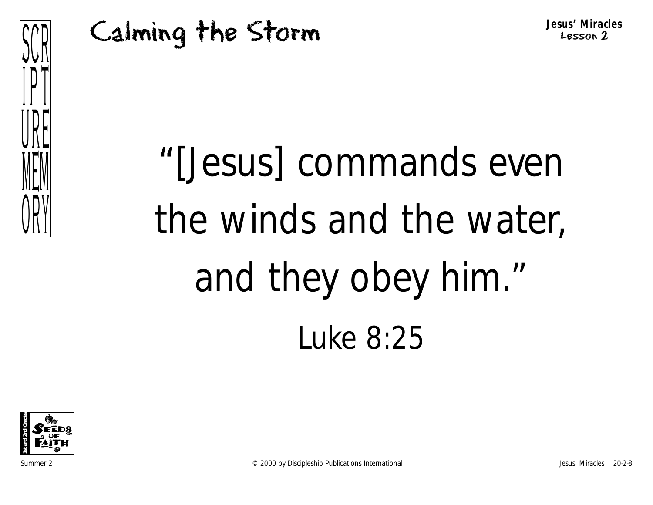

**Jesus' Miracles** Lesson 2

# "[Jesus] commands even the winds and the water, and they obey him." Luke 8:25

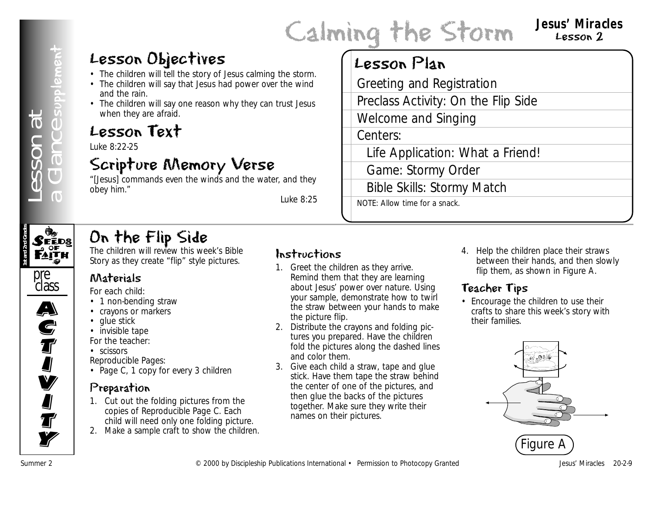#### **Jesus' Miracles** Lesson 2

#### Lesson Objectives

- The children will tell the story of Jesus calming the storm.
- The children will say that Jesus had power over the wind and the rain.
- The children will say one reason why they can trust Jesus when they are afraid.

#### Lesson Text

Luke 8:22-25

#### Scripture Memory Verse

"[Jesus] commands even the winds and the water, and they obey him."

*Luke 8:25*

#### Lesson Plan

**Lesson Objectives**<br>
The change will be absorptions coming the across the varial Grociting and Registration<br>
The minimum and minimum sections International Welcome and Singing<br>
Contribute Publication Windows The Publicati Greeting and Registration Preclass Activity: On the Flip Side Welcome and Singing Centers: Life Application: What a Friend! Game: Stormy Order Bible Skills: Stormy Match NOTE: Allow time for a snack.

# **1st and 2nd Grades**

#### On the Flip Side

The children will review this week's Bible Story as they create "flip" style pictures.



A)<br>C

**S**<br>T

I<br>I

**V** 

**I** 

**J**<br>T

**Ty** 

#### Materials

*For each child:*

- 1 non-bending straw
- crayons or markers
- glue stick • invisible tape

*For the teacher:*

• scissors

*Reproducible Pages:*

• Page C, 1 copy for every 3 children

#### Preparation

- 1. Cut out the folding pictures from the copies of Reproducible Page C. Each child will need only one folding picture.
- 2. Make a sample craft to show the children.

#### Instructions

- 1. Greet the children as they arrive. Remind them that they are learning about Jesus' power over nature. Using your sample, demonstrate how to twirl the straw between your hands to make the picture flip.
- 2. Distribute the crayons and folding pictures you prepared. Have the children fold the pictures along the dashed lines and color them.
- 3. Give each child a straw, tape and glue stick. Have them tape the straw behind the center of one of the pictures, and then glue the backs of the pictures together. Make sure they write their names on their pictures.

4. Help the children place their straws between their hands, and then slowly flip them, as shown in Figure A.

#### Teacher Tips

• Encourage the children to use their crafts to share this week's story with their families.

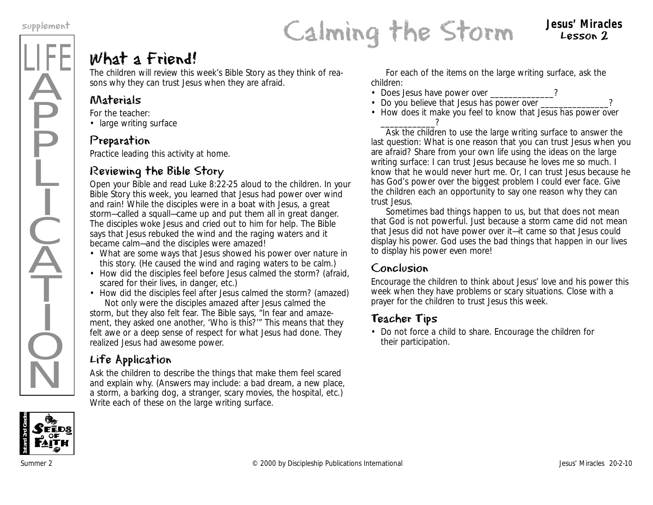LIFE

Ä

**P** 

P

Ļ

I

 $\frac{1}{2}$ 

 $\widecheck{\mathrm{A}}$ 

T

I

 $\dot{Q}$ 

 $\overline{\textsf{N}}$ 

#### What a Friend!

The children will review this week's Bible Story as they think of reasons why they can trust Jesus when they are afraid.

#### Materials

*For the teacher:*

• large writing surface

#### Preparation

Practice leading this activity at home.

#### Reviewing the Bible Story

Open your Bible and read Luke 8:22-25 aloud to the children. *In your Bible Story this week, you learned that Jesus had power over wind and rain! While the disciples were in a boat with Jesus, a great storm—called a squall—came up and put them all in great danger. The disciples woke Jesus and cried out to him for help. The Bible says that Jesus rebuked the wind and the raging waters and it became calm—and the disciples were amazed!* 

- *What are some ways that Jesus showed his power over nature in this story.* (He caused the wind and raging waters to be calm.)
- How did the disciples feel before Jesus calmed the storm? (afraid, scared for their lives, in danger, etc.)
- *How did the disciples feel after Jesus calmed the storm?* (amazed) *Not only were the disciples amazed after Jesus calmed the storm, but they also felt fear. The Bible says, "In fear and amazement, they asked one another, 'Who is this?'" This means that they felt awe or a deep sense of respect for what Jesus had done. They*

*realized Jesus had awesome power.*

#### Life Application

Ask the children to describe the things that make them feel scared and explain why. (Answers may include: a bad dream, a new place, a storm, a barking dog, a stranger, scary movies, the hospital, etc.) Write each of these on the large writing surface.

For each of the items on the large writing surface, ask the children:

- *Does Jesus have power over \_\_\_\_\_\_\_\_\_\_\_\_\_\_?*
- *Do you believe that Jesus has power over*
- *How does it make you feel to know that Jesus has power over \_\_\_\_\_\_\_\_\_\_\_\_?*

Ask the children to use the large writing surface to answer the last question: *What is one reason that you can trust Jesus when you are afraid?* Share from your own life using the ideas on the large writing surface: *I can trust Jesus because he loves me so much. I know that he would never hurt me. Or, I can trust Jesus because he has God's power over the biggest problem I could ever face.* Give the children each an opportunity to say one reason why they can trust Jesus.

*Sometimes bad things happen to us, but that does not mean that God is not powerful. Just because a storm came did not mean that Jesus did not have power over it—it came so that Jesus could display his power. God uses the bad things that happen in our lives to display his power even more!*

#### Conclusion

Encourage the children to think about Jesus' love and his power this week when they have problems or scary situations. Close with a prayer for the children to trust Jesus this week.

#### Teacher Tips

• Do not force a child to share. Encourage the children for their participation.



Lesson 2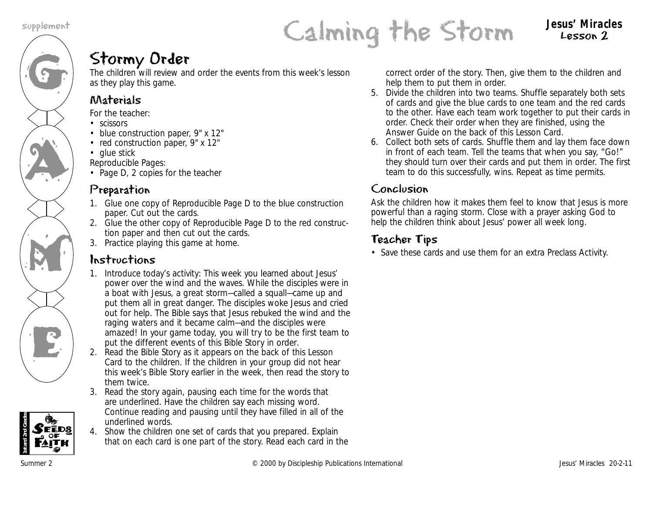

#### Lesson 2

#### Stormy Order

The children will review and order the events from this week's lesson as they play this game.

#### Materials

*For the teacher:*

- scissors
- blue construction paper, 9" x 12"
- red construction paper, 9" x 12"
- glue stick

*Reproducible Pages:*

• Page D, 2 copies for the teacher

#### Preparation

- 1. Glue one copy of Reproducible Page D to the blue construction paper. Cut out the cards.
- 2. Glue the other copy of Reproducible Page D to the red construction paper and then cut out the cards.
- 3. Practice playing this game at home.

#### Instructions

- 1. Introduce today's activity: *This week you learned about Jesus' power over the wind and the waves. While the disciples were in a boat with Jesus, a great storm—called a squall—came up and put them all in great danger. The disciples woke Jesus and cried out for help. The Bible says that Jesus rebuked the wind and the raging waters and it became calm—and the disciples were amazed! In your game today, you will try to be the first team to put the different events of this Bible Story in order*.
- 2. Read the Bible Story as it appears on the back of this Lesson Card to the children. If the children in your group did not hear this week's Bible Story earlier in the week, then read the story to them twice.
- 3. Read the story again, pausing each time for the words that are underlined. Have the children say each missing word. Continue reading and pausing until they have filled in all of the underlined words.
- 4. Show the children one set of cards that you prepared. Explain that on each card is one part of the story. Read each card in the

correct order of the story. Then, give them to the children and help them to put them in order.

- 5. Divide the children into two teams. Shuffle separately both sets of cards and give the blue cards to one team and the red cards to the other. Have each team work together to put their cards in order. Check their order when they are finished, using the Answer Guide on the back of this Lesson Card.
- 6. Collect both sets of cards. Shuffle them and lay them face down in front of each team. Tell the teams that when you say, "Go!" they should turn over their cards and put them in order. The first team to do this successfully, wins. Repeat as time permits.

#### Conclusion

Ask the children how it makes them feel to know that Jesus is more powerful than a raging storm. Close with a prayer asking God to help the children think about Jesus' power all week long.

#### Teacher Tips

• Save these cards and use them for an extra Preclass Activity.

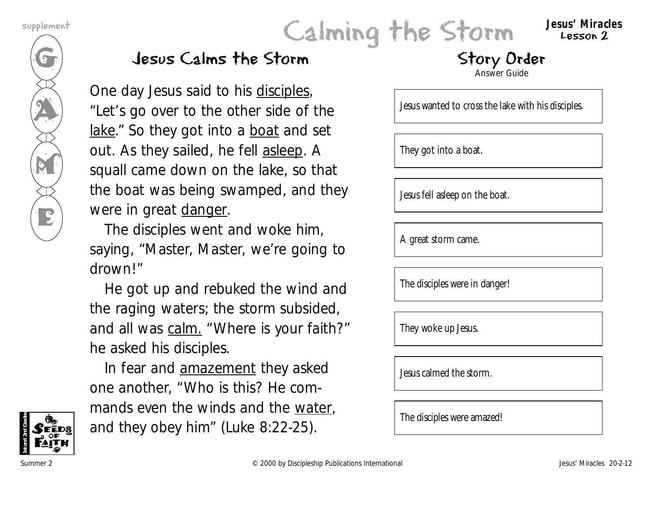G

**AN** 

M

E

# supplement **Calming the Storm** Jesus' Miracles

Lesson 2

#### Jesus Calms the Storm

*One day Jesus said to his disciples, "Let's go over to the other side of the lake." So they got into a boat and set out. As they sailed, he fell asleep. A squall came down on the lake, so that the boat was being swamped, and they were in great danger.* 

*The disciples went and woke him, saying, "Master, Master, we're going to drown!"*

*He got up and rebuked the wind and the raging waters; the storm subsided, and all was calm. "Where is your faith?" he asked his disciples.*

*In fear and amazement they asked one another, "Who is this? He commands even the winds and the water, and they obey him" (Luke 8:22-25).*

#### Story Order

Answer Guide

Jesus wanted to cross the lake with his disciples.

They got into a boat.

Jesus fell asleep on the boat.

A great storm came.

The disciples were in danger!

They woke up Jesus.

Jesus calmed the storm.

The disciples were amazed!

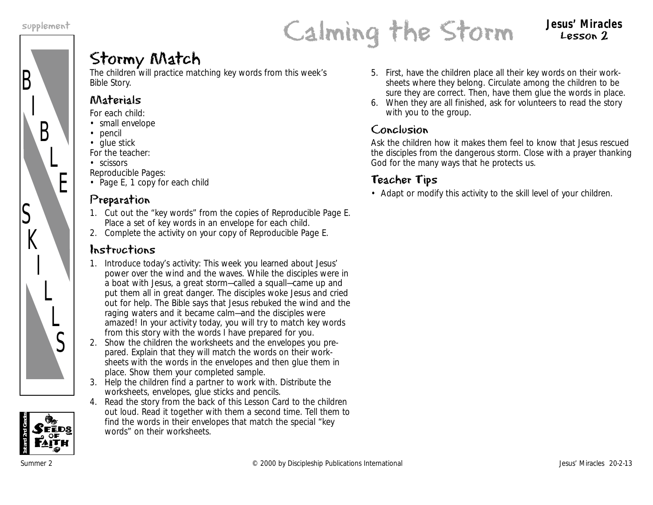B

S

 $K$ 

I

L

 $\overline{L}$ 

S

I

B

L

E



Lesson 2

#### Stormy Match

The children will practice matching key words from this week's Bible Story.

#### Materials

*For each child:*

- small envelope
- pencil
- glue stick

*For the teacher:*

• scissors

*Reproducible Pages:*

• Page E, 1 copy for each child

#### Preparation

- 1. Cut out the "key words" from the copies of Reproducible Page E. Place a set of key words in an envelope for each child.
- 2. Complete the activity on your copy of Reproducible Page E.

#### Instructions

- 1. Introduce today's activity: *This week you learned about Jesus' power over the wind and the waves. While the disciples were in a boat with Jesus, a great storm—called a squall—came up and put them all in great danger. The disciples woke Jesus and cried out for help. The Bible says that Jesus rebuked the wind and the raging waters and it became calm—and the disciples were amazed! In your activity today, you will try to match key words from this story with the words I have prepared for you.*
- 2. Show the children the worksheets and the envelopes you prepared. Explain that they will match the words on their worksheets with the words in the envelopes and then glue them in place. Show them your completed sample.
- 3. Help the children find a partner to work with. Distribute the worksheets, envelopes, glue sticks and pencils.
- 4. Read the story from the back of this Lesson Card to the children out loud. Read it together with them a second time. Tell them to find the words in their envelopes that match the special "key words" on their worksheets.
- 5. First, have the children place all their key words on their worksheets where they belong. Circulate among the children to be sure they are correct. Then, have them glue the words in place.
- 6. When they are all finished, ask for volunteers to read the story with you to the group.

#### Conclusion

Ask the children how it makes them feel to know that Jesus rescued the disciples from the dangerous storm. Close with a prayer thanking God for the many ways that he protects us.

#### Teacher Tips

• Adapt or modify this activity to the skill level of your children.

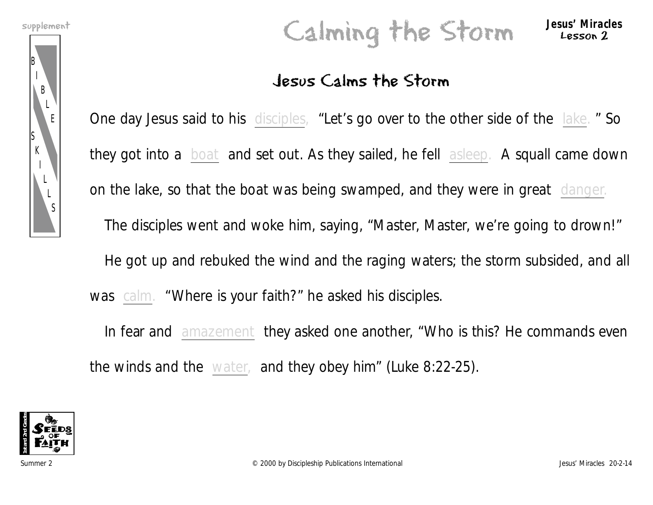B

S K

> I L L S

I B

> L E

# supplement **Calming the Storm** Jesus' Miracles

#### Jesus Calms the Storm

*One day Jesus said to his disciples, "Let's go over to the other side of the lake. " So they got into a boat and set out. As they sailed, he fell asleep. A squall came down on the lake, so that the boat was being swamped, and they were in great danger. The disciples went and woke him, saying, "Master, Master, we're going to drown!" He got up and rebuked the wind and the raging waters; the storm subsided, and all was calm. "Where is your faith?" he asked his disciples.*

*In fear and amazement they asked one another, "Who is this? He commands even the winds and the water, and they obey him" (Luke 8:22-25).*



Lesson 2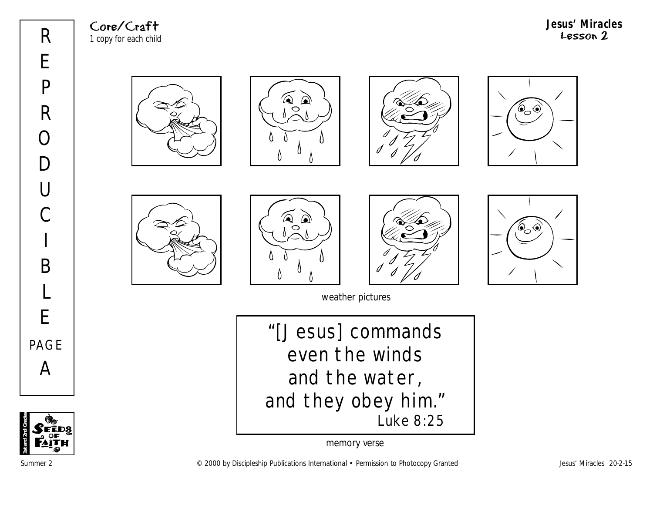Core/Craft 1 copy for each child **Jesus' Miracles** Lesson 2

















weather pictures

"[Jesus] commands even the winds and the water, and they obey him." Luke 8:25



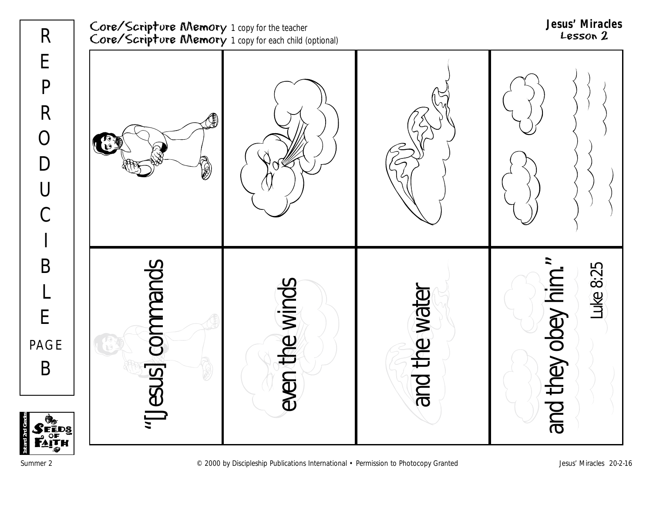



**1st and 2nd Grades**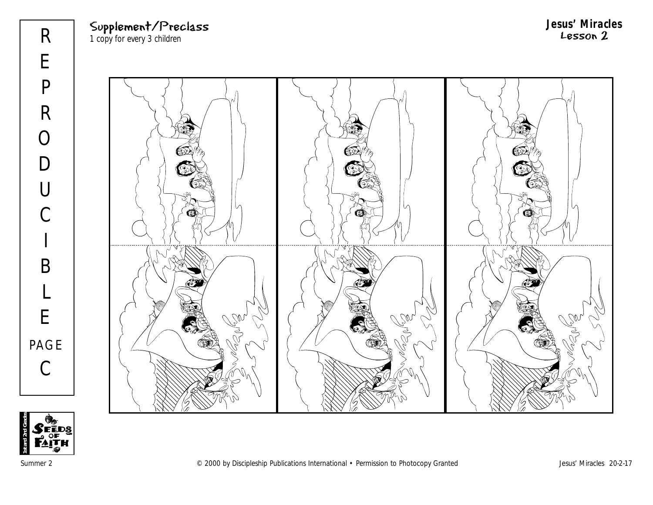Supplement/Preclass 1 copy for every 3 children

**Jesus' Miracles** Lesson 2





Summer 2 COOO by Discipleship Publications International • Permission to Photocopy Granted Jesus' Miracles 20-2-17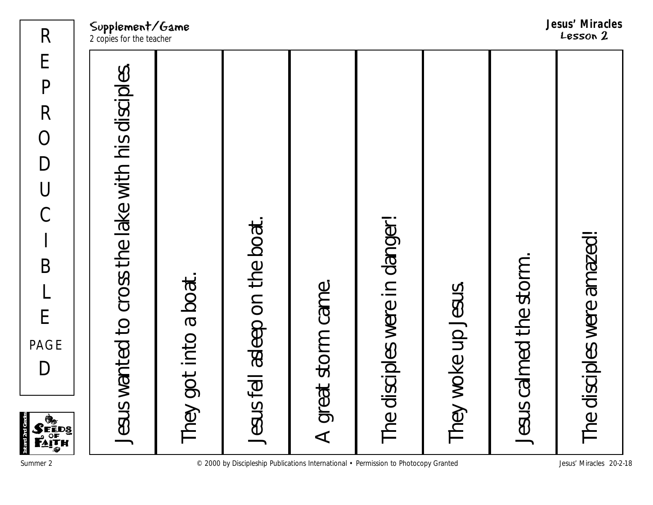Supplement/Game

| E<br>}<br>ĒDS<br>!TH<br>¦Ø                         |                          |
|----------------------------------------------------|--------------------------|
| Jesus wanted to cross the lake with his disciples. | 2 copies for the teacher |
| They got into a boat.                              |                          |
| Jesus fell asleep on the boat.                     |                          |
| A great storm came.                                |                          |
| The disciples were in danger!                      |                          |
| They woke up Jesus.                                |                          |
| Jesus calmed the storm.                            |                          |
| The disciples were amazed!                         | LBSSUN L                 |

**1st and 2nd Grades**